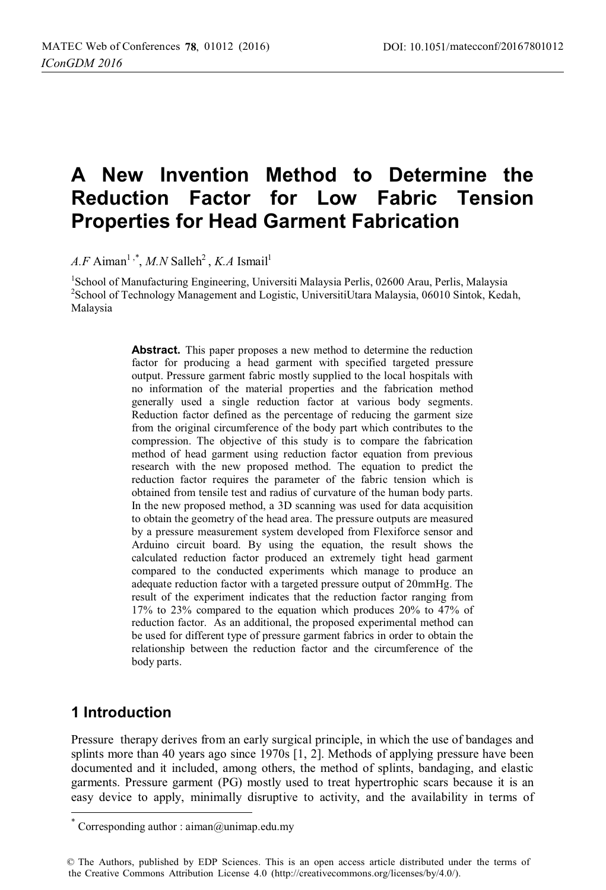# **A New Invention Method to Determine the Reduction Factor for Low Fabric Tension Properties for Head Garment Fabrication**

 $A.F$  Aiman<sup>1</sup>,<sup>\*</sup>, *M.N* Salleh<sup>2</sup>, *K.A* Ismail<sup>1</sup>

<sup>1</sup>School of Manufacturing Engineering, Universiti Malaysia Perlis, 02600 Arau, Perlis, Malaysia <sup>2</sup> School of Technology Management and Logistic, UniversitiUtara Malaysia, 06010 Sintok, Kedah, Malaysia

> **Abstract.** This paper proposes a new method to determine the reduction factor for producing a head garment with specified targeted pressure output. Pressure garment fabric mostly supplied to the local hospitals with no information of the material properties and the fabrication method generally used a single reduction factor at various body segments. Reduction factor defined as the percentage of reducing the garment size from the original circumference of the body part which contributes to the compression. The objective of this study is to compare the fabrication method of head garment using reduction factor equation from previous research with the new proposed method. The equation to predict the reduction factor requires the parameter of the fabric tension which is obtained from tensile test and radius of curvature of the human body parts. In the new proposed method, a 3D scanning was used for data acquisition to obtain the geometry of the head area. The pressure outputs are measured by a pressure measurement system developed from Flexiforce sensor and Arduino circuit board. By using the equation, the result shows the calculated reduction factor produced an extremely tight head garment compared to the conducted experiments which manage to produce an adequate reduction factor with a targeted pressure output of 20mmHg. The result of the experiment indicates that the reduction factor ranging from 17% to 23% compared to the equation which produces 20% to 47% of reduction factor. As an additional, the proposed experimental method can be used for different type of pressure garment fabrics in order to obtain the relationship between the reduction factor and the circumference of the body parts.

# **1 Introduction**

 $\overline{a}$ 

Pressure therapy derives from an early surgical principle, in which the use of bandages and splints more than 40 years ago since 1970s [1, 2]. Methods of applying pressure have been documented and it included, among others, the method of splints, bandaging, and elastic garments. Pressure garment (PG) mostly used to treat hypertrophic scars because it is an easy device to apply, minimally disruptive to activity, and the availability in terms of

Corresponding author :  $\text{aiman}(\partial \Omega)$ unimap.edu.my

<sup>©</sup> The Authors, published by EDP Sciences. This is an open access article distributed under the terms of the Creative Commons Attribution License 4.0 (http://creativecommons.org/licenses/by/4.0/).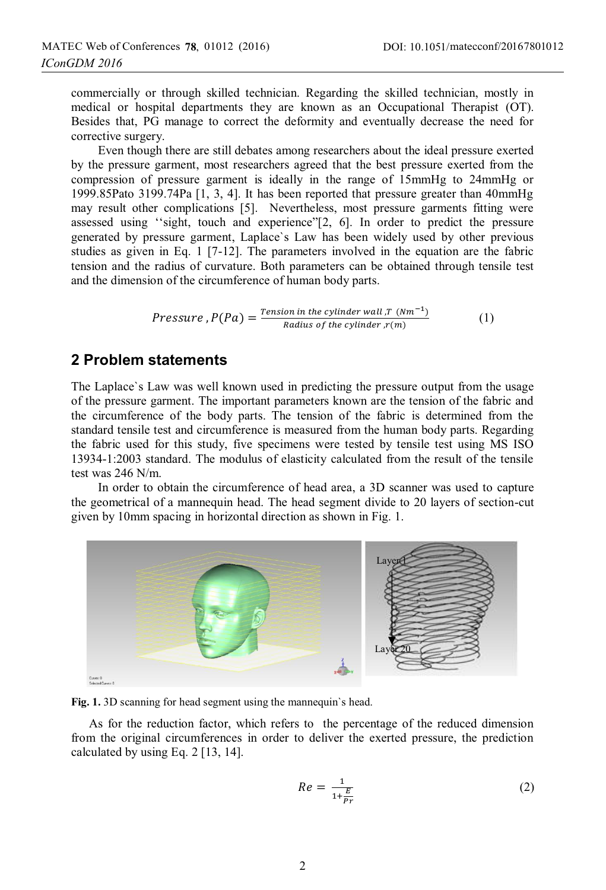commercially or through skilled technician. Regarding the skilled technician, mostly in medical or hospital departments they are known as an Occupational Therapist (OT). Besides that, PG manage to correct the deformity and eventually decrease the need for corrective surgery.

Even though there are still debates among researchers about the ideal pressure exerted by the pressure garment, most researchers agreed that the best pressure exerted from the compression of pressure garment is ideally in the range of 15mmHg to 24mmHg or 1999.85Pato 3199.74Pa [1, 3, 4]. It has been reported that pressure greater than 40mmHg may result other complications [5]. Nevertheless, most pressure garments fitting were assessed using ''sight, touch and experience"[2, 6]. In order to predict the pressure generated by pressure garment, Laplace`s Law has been widely used by other previous studies as given in Eq. 1 [7-12]. The parameters involved in the equation are the fabric tension and the radius of curvature. Both parameters can be obtained through tensile test and the dimension of the circumference of human body parts.

$$
Pressure, P(Pa) = \frac{Tension in the cylinder wall, T (Nm^{-1})}{Radius of the cylinder, r(m)}
$$
 (1)

### **2 Problem statements**

The Laplace`s Law was well known used in predicting the pressure output from the usage of the pressure garment. The important parameters known are the tension of the fabric and the circumference of the body parts. The tension of the fabric is determined from the standard tensile test and circumference is measured from the human body parts. Regarding the fabric used for this study, five specimens were tested by tensile test using MS ISO 13934-1:2003 standard. The modulus of elasticity calculated from the result of the tensile test was 246 N/m.

In order to obtain the circumference of head area, a 3D scanner was used to capture the geometrical of a mannequin head. The head segment divide to 20 layers of section-cut given by 10mm spacing in horizontal direction as shown in Fig. 1.



**Fig. 1.** 3D scanning for head segment using the mannequin`s head.

As for the reduction factor, which refers to the percentage of the reduced dimension from the original circumferences in order to deliver the exerted pressure, the prediction calculated by using Eq. 2 [13, 14].

$$
Re = \frac{1}{1 + \frac{E}{Pr}} \tag{2}
$$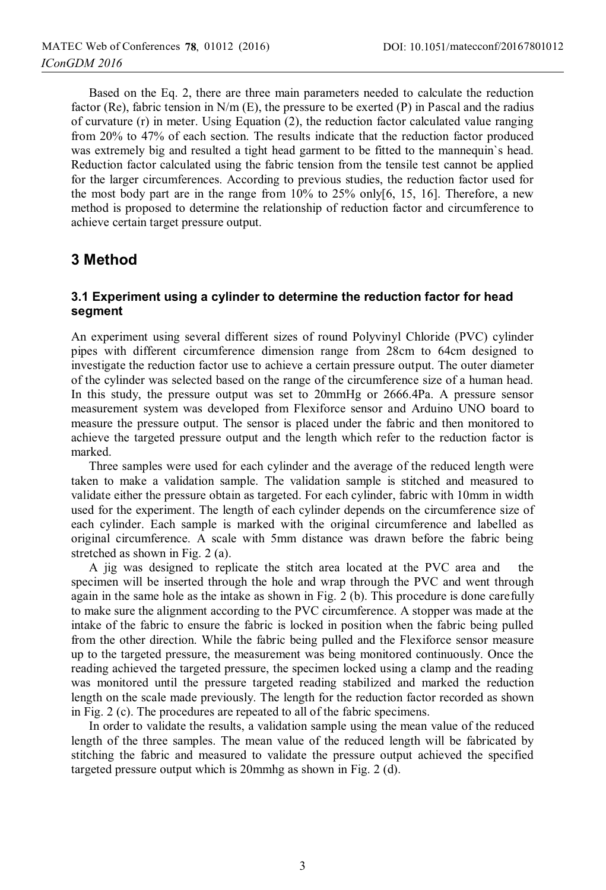Based on the Eq. 2, there are three main parameters needed to calculate the reduction factor (Re), fabric tension in  $N/m$  (E), the pressure to be exerted (P) in Pascal and the radius of curvature (r) in meter. Using Equation (2), the reduction factor calculated value ranging from 20% to 47% of each section. The results indicate that the reduction factor produced was extremely big and resulted a tight head garment to be fitted to the mannequin`s head. Reduction factor calculated using the fabric tension from the tensile test cannot be applied for the larger circumferences. According to previous studies, the reduction factor used for the most body part are in the range from  $10\%$  to  $25\%$  only[6, 15, 16]. Therefore, a new method is proposed to determine the relationship of reduction factor and circumference to achieve certain target pressure output.

## **3 Method**

#### **3.1 Experiment using a cylinder to determine the reduction factor for head segment**

An experiment using several different sizes of round Polyvinyl Chloride (PVC) cylinder pipes with different circumference dimension range from 28cm to 64cm designed to investigate the reduction factor use to achieve a certain pressure output. The outer diameter of the cylinder was selected based on the range of the circumference size of a human head. In this study, the pressure output was set to 20mmHg or 2666.4Pa. A pressure sensor measurement system was developed from Flexiforce sensor and Arduino UNO board to measure the pressure output. The sensor is placed under the fabric and then monitored to achieve the targeted pressure output and the length which refer to the reduction factor is marked.

Three samples were used for each cylinder and the average of the reduced length were taken to make a validation sample. The validation sample is stitched and measured to validate either the pressure obtain as targeted. For each cylinder, fabric with 10mm in width used for the experiment. The length of each cylinder depends on the circumference size of each cylinder. Each sample is marked with the original circumference and labelled as original circumference. A scale with 5mm distance was drawn before the fabric being stretched as shown in Fig. 2 (a).

A jig was designed to replicate the stitch area located at the PVC area and specimen will be inserted through the hole and wrap through the PVC and went through again in the same hole as the intake as shown in Fig. 2 (b). This procedure is done carefully to make sure the alignment according to the PVC circumference. A stopper was made at the intake of the fabric to ensure the fabric is locked in position when the fabric being pulled from the other direction. While the fabric being pulled and the Flexiforce sensor measure up to the targeted pressure, the measurement was being monitored continuously. Once the reading achieved the targeted pressure, the specimen locked using a clamp and the reading was monitored until the pressure targeted reading stabilized and marked the reduction length on the scale made previously. The length for the reduction factor recorded as shown in Fig. 2 (c). The procedures are repeated to all of the fabric specimens.

In order to validate the results, a validation sample using the mean value of the reduced length of the three samples. The mean value of the reduced length will be fabricated by stitching the fabric and measured to validate the pressure output achieved the specified targeted pressure output which is 20mmhg as shown in Fig. 2 (d).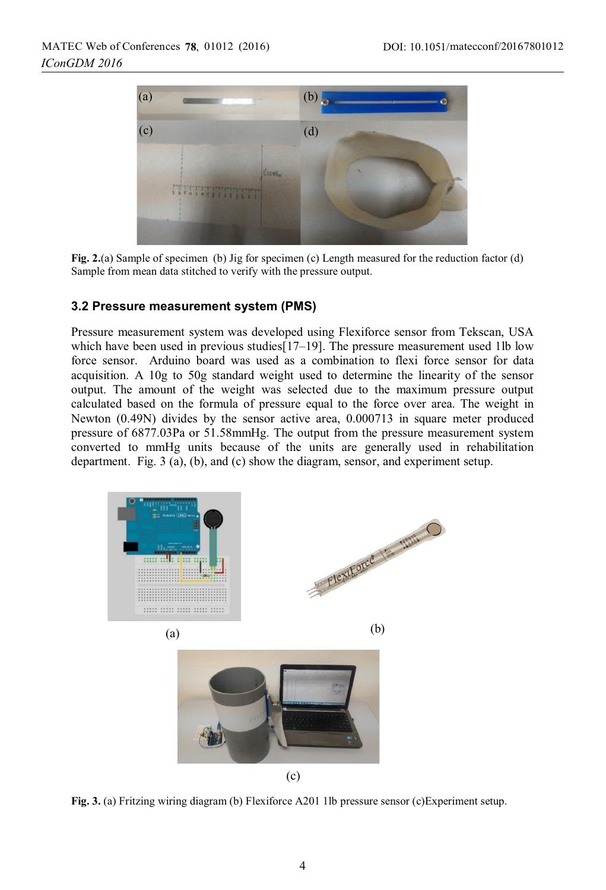

**Fig. 2.**(a) Sample of specimen (b) Jig for specimen (c) Length measured for the reduction factor (d) Sample from mean data stitched to verify with the pressure output.

#### **3.2 Pressure measurement system (PMS)**

Pressure measurement system was developed using Flexiforce sensor from Tekscan, USA which have been used in previous studies  $[17-19]$ . The pressure measurement used 1lb low force sensor. Arduino board was used as a combination to flexi force sensor for data acquisition. A 10g to 50g standard weight used to determine the linearity of the sensor output. The amount of the weight was selected due to the maximum pressure output calculated based on the formula of pressure equal to the force over area. The weight in Newton (0.49N) divides by the sensor active area, 0.000713 in square meter produced pressure of 6877.03Pa or 51.58mmHg. The output from the pressure measurement system converted to mmHg units because of the units are generally used in rehabilitation department. Fig. 3 (a), (b), and (c) show the diagram, sensor, and experiment setup.



**Fig. 3.** (a) Fritzing wiring diagram (b) Flexiforce A201 1lb pressure sensor (c)Experiment setup.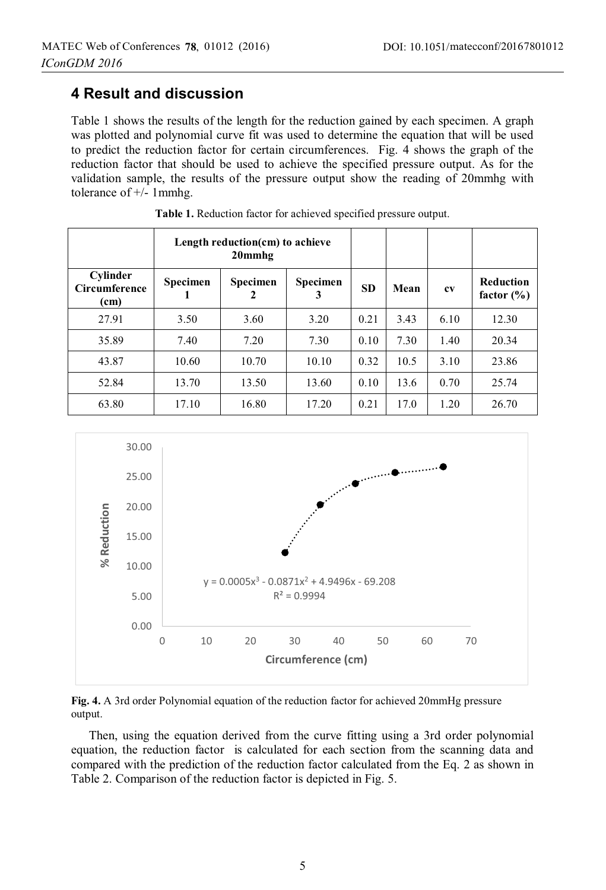# **4 Result and discussion**

Table 1 shows the results of the length for the reduction gained by each specimen. A graph was plotted and polynomial curve fit was used to determine the equation that will be used to predict the reduction factor for certain circumferences. Fig. 4 shows the graph of the reduction factor that should be used to achieve the specified pressure output. As for the validation sample, the results of the pressure output show the reading of 20mmhg with tolerance of  $+/- 1$  mmhg.

|                                          | Length reduction(cm) to achieve<br>20mmhg |                      |                      |           |      |           |                                    |
|------------------------------------------|-------------------------------------------|----------------------|----------------------|-----------|------|-----------|------------------------------------|
| Cylinder<br><b>Circumference</b><br>(cm) | <b>Specimen</b>                           | <b>Specimen</b><br>2 | <b>Specimen</b><br>3 | <b>SD</b> | Mean | <b>cv</b> | <b>Reduction</b><br>factor $(\% )$ |
| 27.91                                    | 3.50                                      | 3.60                 | 3.20                 | 0.21      | 3.43 | 6.10      | 12.30                              |
| 35.89                                    | 7.40                                      | 7.20                 | 7.30                 | 0.10      | 7.30 | 1.40      | 20.34                              |
| 43.87                                    | 10.60                                     | 10.70                | 10.10                | 0.32      | 10.5 | 3.10      | 23.86                              |
| 52.84                                    | 13.70                                     | 13.50                | 13.60                | 0.10      | 13.6 | 0.70      | 25.74                              |
| 63.80                                    | 17.10                                     | 16.80                | 17.20                | 0.21      | 17.0 | 1.20      | 26.70                              |

**Table 1.** Reduction factor for achieved specified pressure output.



**Fig. 4.** A 3rd order Polynomial equation of the reduction factor for achieved 20mmHg pressure output.

Then, using the equation derived from the curve fitting using a 3rd order polynomial equation, the reduction factor is calculated for each section from the scanning data and compared with the prediction of the reduction factor calculated from the Eq. 2 as shown in Table 2. Comparison of the reduction factor is depicted in Fig. 5.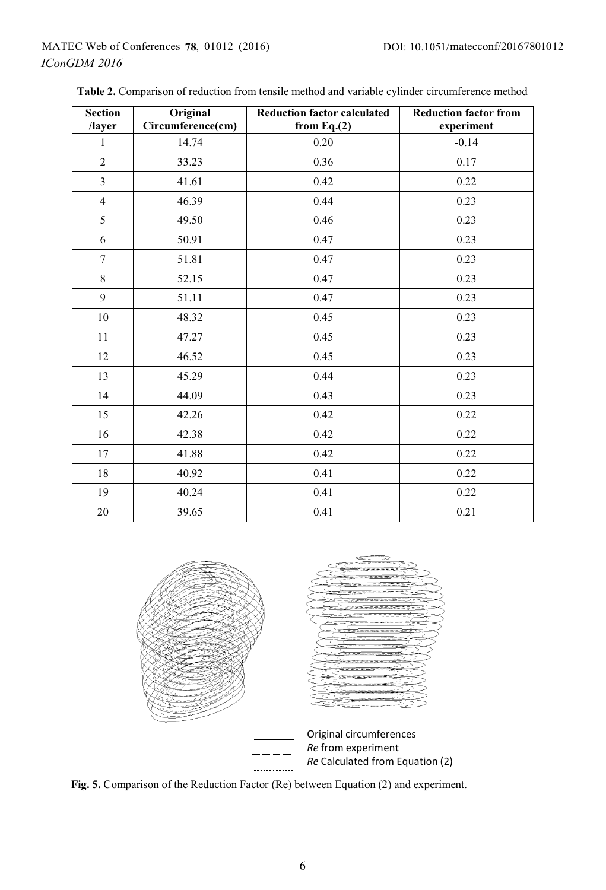| <b>Section</b> | Original          | <b>Reduction factor calculated</b> | <b>Reduction factor from</b> |
|----------------|-------------------|------------------------------------|------------------------------|
| /layer         | Circumference(cm) | from $Eq.(2)$                      | experiment                   |
| $\mathbf{1}$   | 14.74             | 0.20                               | $-0.14$                      |
| $\overline{2}$ | 33.23             | 0.36                               | 0.17                         |
| $\overline{3}$ | 41.61             | 0.42                               | 0.22                         |
| $\overline{4}$ | 46.39             | 0.44                               | 0.23                         |
| 5              | 49.50             | 0.46                               | 0.23                         |
| 6              | 50.91             | 0.47                               | 0.23                         |
| $\tau$         | 51.81             | 0.47                               | 0.23                         |
| 8              | 52.15             | 0.47                               | 0.23                         |
| 9              | 51.11             | 0.47                               | 0.23                         |
| 10             | 48.32             | 0.45                               | 0.23                         |
| 11             | 47.27             | 0.45                               | 0.23                         |
| 12             | 46.52             | 0.45                               | 0.23                         |
| 13             | 45.29             | 0.44                               | 0.23                         |
| 14             | 44.09             | 0.43                               | 0.23                         |
| 15             | 42.26             | 0.42                               | 0.22                         |
| 16             | 42.38             | 0.42                               | 0.22                         |
| 17             | 41.88             | 0.42                               | 0.22                         |
| 18             | 40.92             | 0.41                               | 0.22                         |
| 19             | 40.24             | 0.41                               | 0.22                         |
| 20             | 39.65             | 0.41                               | 0.21                         |

**Table 2.** Comparison of reduction from tensile method and variable cylinder circumference method



**Fig. 5.** Comparison of the Reduction Factor (Re) between Equation (2) and experiment.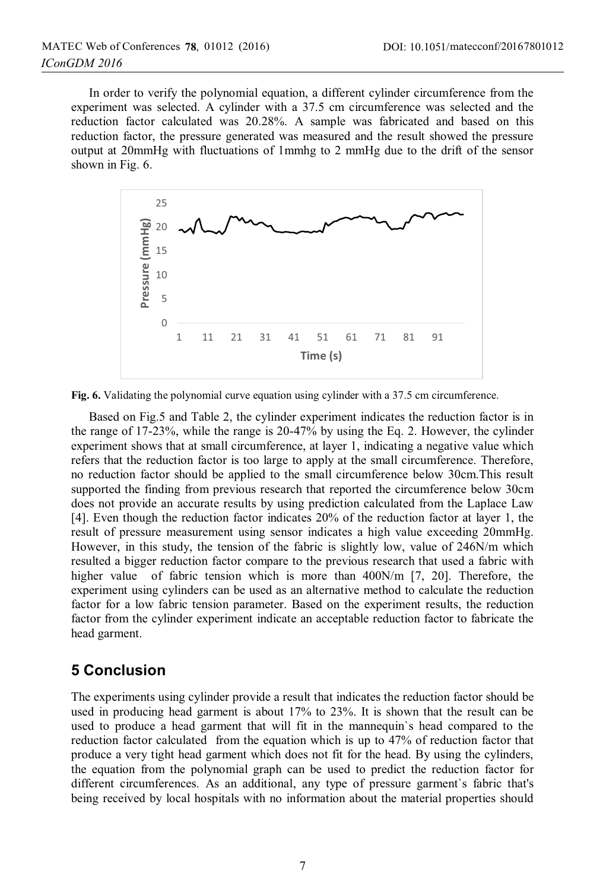In order to verify the polynomial equation, a different cylinder circumference from the experiment was selected. A cylinder with a 37.5 cm circumference was selected and the reduction factor calculated was 20.28%. A sample was fabricated and based on this reduction factor, the pressure generated was measured and the result showed the pressure output at 20mmHg with fluctuations of 1mmhg to 2 mmHg due to the drift of the sensor shown in Fig. 6.



**Fig. 6.** Validating the polynomial curve equation using cylinder with a 37.5 cm circumference.

Based on Fig.5 and Table 2, the cylinder experiment indicates the reduction factor is in the range of 17-23%, while the range is 20-47% by using the Eq. 2. However, the cylinder experiment shows that at small circumference, at layer 1, indicating a negative value which refers that the reduction factor is too large to apply at the small circumference. Therefore, no reduction factor should be applied to the small circumference below 30cm.This result supported the finding from previous research that reported the circumference below 30cm does not provide an accurate results by using prediction calculated from the Laplace Law [4]. Even though the reduction factor indicates 20% of the reduction factor at layer 1, the result of pressure measurement using sensor indicates a high value exceeding 20mmHg. However, in this study, the tension of the fabric is slightly low, value of 246N/m which resulted a bigger reduction factor compare to the previous research that used a fabric with higher value of fabric tension which is more than 400N/m [7, 20]. Therefore, the experiment using cylinders can be used as an alternative method to calculate the reduction factor for a low fabric tension parameter. Based on the experiment results, the reduction factor from the cylinder experiment indicate an acceptable reduction factor to fabricate the head garment.

## **5 Conclusion**

The experiments using cylinder provide a result that indicates the reduction factor should be used in producing head garment is about 17% to 23%. It is shown that the result can be used to produce a head garment that will fit in the mannequin`s head compared to the reduction factor calculated from the equation which is up to 47% of reduction factor that produce a very tight head garment which does not fit for the head. By using the cylinders, the equation from the polynomial graph can be used to predict the reduction factor for different circumferences. As an additional, any type of pressure garment`s fabric that's being received by local hospitals with no information about the material properties should